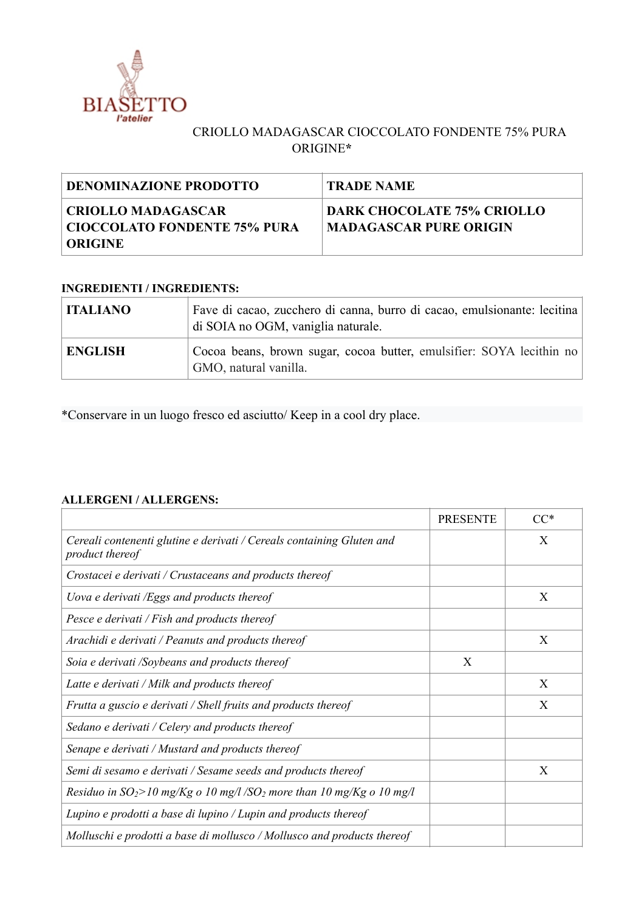

## CRIOLLO MADAGASCAR CIOCCOLATO FONDENTE 75% PURA ORIGINE**\***

| <b>DENOMINAZIONE PRODOTTO</b>                                       | <b>TRADE NAME</b>                                    |
|---------------------------------------------------------------------|------------------------------------------------------|
| CRIOLLO MADAGASCAR <br>  CIOCCOLATO FONDENTE 75% PURA<br>  ORIGINE_ | DARK CHOCOLATE 75% CRIOLLO<br>MADAGASCAR PURE ORIGIN |

## **INGREDIENTI / INGREDIENTS:**

| <b>ITALIANO</b> | Fave di cacao, zucchero di canna, burro di cacao, emulsionante: lecitina<br>di SOIA no OGM, vaniglia naturale. |
|-----------------|----------------------------------------------------------------------------------------------------------------|
| <b>ENGLISH</b>  | Cocoa beans, brown sugar, cocoa butter, emulsifier: SOYA lecithin no<br>GMO, natural vanilla.                  |

\*Conservare in un luogo fresco ed asciutto/ Keep in a cool dry place.

## **ALLERGENI / ALLERGENS:**

|                                                                                          | <b>PRESENTE</b> | $CC^*$ |
|------------------------------------------------------------------------------------------|-----------------|--------|
| Cereali contenenti glutine e derivati / Cereals containing Gluten and<br>product thereof |                 | X      |
| Crostacei e derivati / Crustaceans and products thereof                                  |                 |        |
| Uova e derivati /Eggs and products thereof                                               |                 | X      |
| Pesce e derivati / Fish and products thereof                                             |                 |        |
| Arachidi e derivati / Peanuts and products thereof                                       |                 | X      |
| Soia e derivati /Soybeans and products thereof                                           | X               |        |
| Latte e derivati / Milk and products thereof                                             |                 | X      |
| Frutta a guscio e derivati / Shell fruits and products thereof                           |                 | X      |
| Sedano e derivati / Celery and products thereof                                          |                 |        |
| Senape e derivati / Mustard and products thereof                                         |                 |        |
| Semi di sesamo e derivati / Sesame seeds and products thereof                            |                 | X      |
| Residuo in $SO_2$ >10 mg/Kg o 10 mg/l /SO <sub>2</sub> more than 10 mg/Kg o 10 mg/l      |                 |        |
| Lupino e prodotti a base di lupino / Lupin and products thereof                          |                 |        |
| Molluschi e prodotti a base di mollusco / Mollusco and products thereof                  |                 |        |